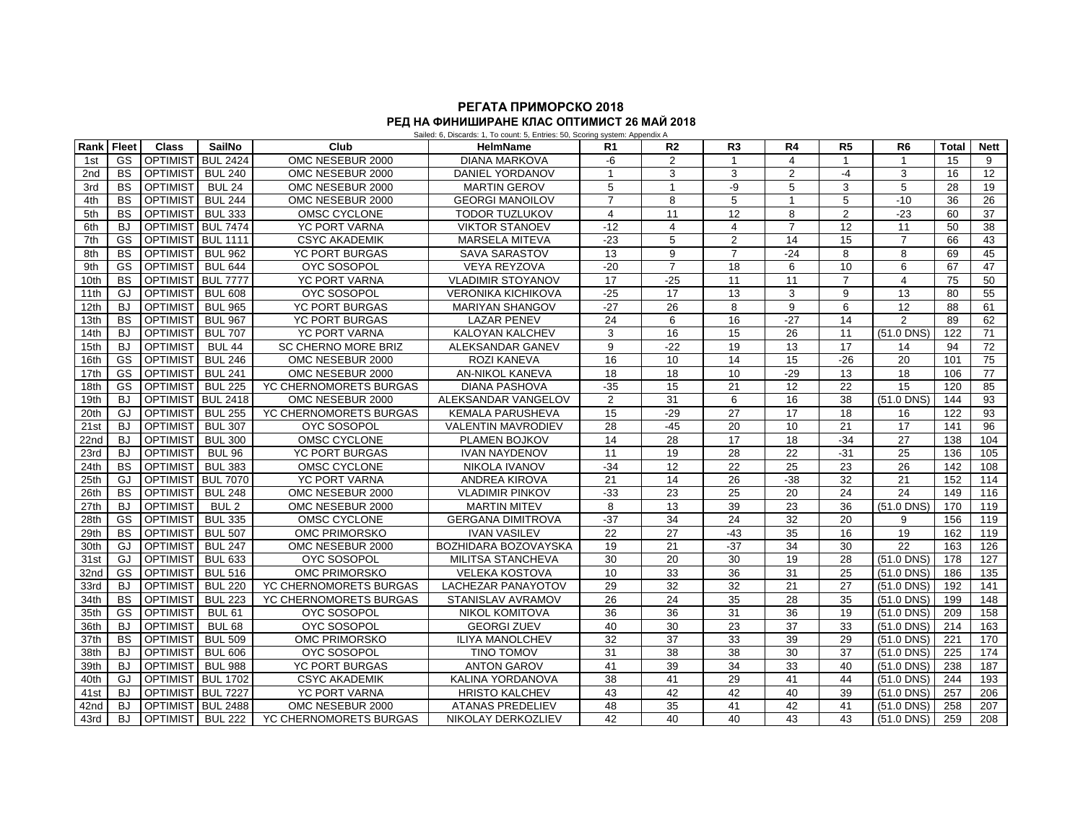## **РЕГАТА ПРИМОРСКО 2018 РЕД НА ФИНИШИРАНЕ КЛАС ОПТИМИСТ 26 МАЙ 2018**

|                  |              |                   |                   |                        | Sailed: 6, Discards: 1, To count: 5, Entries: 50, Scoring system: Appendix A |                |                |                 |                 |                |                |       |             |
|------------------|--------------|-------------------|-------------------|------------------------|------------------------------------------------------------------------------|----------------|----------------|-----------------|-----------------|----------------|----------------|-------|-------------|
| Rank             | <b>Fleet</b> | <b>Class</b>      | SailNo            | Club                   | <b>HelmName</b>                                                              | R <sub>1</sub> | R <sub>2</sub> | R <sub>3</sub>  | R4              | R5             | R <sub>6</sub> | Total | <b>Nett</b> |
| 1st              | GS           | <b>OPTIMIST</b>   | <b>BUL 2424</b>   | OMC NESEBUR 2000       | <b>DIANA MARKOVA</b>                                                         | -6             | 2              | $\mathbf{1}$    | 4               | $\mathbf{1}$   | $\mathbf{1}$   | 15    | 9           |
| 2nd              | <b>BS</b>    | <b>OPTIMIST</b>   | <b>BUL 240</b>    | OMC NESEBUR 2000       | DANIEL YORDANOV                                                              | $\mathbf{1}$   | 3              | 3               | 2               | $-4$           | 3              | 16    | 12          |
| 3rd              | <b>BS</b>    | <b>OPTIMIST</b>   | <b>BUL 24</b>     | OMC NESEBUR 2000       | <b>MARTIN GEROV</b>                                                          | 5              | $\mathbf{1}$   | -9              | 5               | 3              | 5              | 28    | 19          |
| 4th              | <b>BS</b>    | <b>OPTIMIST</b>   | <b>BUL 244</b>    | OMC NESEBUR 2000       | <b>GEORGI MANOILOV</b>                                                       | $\overline{7}$ | 8              | 5               | $\overline{1}$  | 5              | $-10$          | 36    | 26          |
| 5th              | <b>BS</b>    | <b>OPTIMIST</b>   | <b>BUL 333</b>    | OMSC CYCLONE           | <b>TODOR TUZLUKOV</b>                                                        | 4              | 11             | 12              | 8               | $\overline{2}$ | $-23$          | 60    | 37          |
| 6th              | BJ           | <b>OPTIMIST</b>   | <b>BUL 7474</b>   | YC PORT VARNA          | <b>VIKTOR STANOEV</b>                                                        | $-12$          | 4              | 4               | $\overline{7}$  | 12             | 11             | 50    | 38          |
| 7th              | GS           | OPTIMIST BUL 1111 |                   | <b>CSYC AKADEMIK</b>   | MARSELA MITEVA                                                               | $-23$          | 5              | 2               | 14              | 15             | $\overline{7}$ | 66    | 43          |
| 8th              | <b>BS</b>    | <b>OPTIMIST</b>   | <b>BUL 962</b>    | YC PORT BURGAS         | <b>SAVA SARASTOV</b>                                                         | 13             | 9              | $\overline{7}$  | $-24$           | 8              | 8              | 69    | 45          |
| 9th              | GS           | <b>OPTIMIST</b>   | <b>BUL 644</b>    | <b>OYC SOSOPOL</b>     | <b>VEYA REYZOVA</b>                                                          | $-20$          | $\overline{7}$ | 18              | 6               | 10             | 6              | 67    | 47          |
| 10th             | <b>BS</b>    | OPTIMIST BUL 7777 |                   | YC PORT VARNA          | <b>VLADIMIR STOYANOV</b>                                                     | 17             | $-25$          | 11              | 11              | $\overline{7}$ | $\overline{4}$ | 75    | 50          |
| 11th             | GJ           | <b>OPTIMIST</b>   | <b>BUL 608</b>    | <b>OYC SOSOPOL</b>     | <b>VERONIKA KICHIKOVA</b>                                                    | $-25$          | 17             | 13              | 3               | 9              | 13             | 80    | 55          |
| 12th             | BJ.          | <b>OPTIMIST</b>   | <b>BUL 965</b>    | <b>YC PORT BURGAS</b>  | <b>MARIYAN SHANGOV</b>                                                       | $-27$          | 26             | 8               | 9               | 6              | 12             | 88    | 61          |
| 13 <sub>th</sub> | <b>BS</b>    | <b>OPTIMIST</b>   | <b>BUL 967</b>    | <b>YC PORT BURGAS</b>  | <b>LAZAR PENEV</b>                                                           | 24             | 6              | 16              | $-27$           | 14             | 2              | 89    | 62          |
| 14th             | BJ           | <b>OPTIMIST</b>   | <b>BUL 707</b>    | YC PORT VARNA          | KALOYAN KALCHEV                                                              | 3              | 16             | 15              | 26              | 11             | $(51.0$ DNS)   | 122   | 71          |
| 15th             | <b>BJ</b>    | <b>OPTIMIST</b>   | <b>BUL 44</b>     | SC CHERNO MORE BRIZ    | ALEKSANDAR GANEV                                                             | 9              | $-22$          | 19              | 13              | 17             | 14             | 94    | 72          |
| 16th             | GS           | <b>OPTIMIST</b>   | <b>BUL 246</b>    | OMC NESEBUR 2000       | <b>ROZI KANEVA</b>                                                           | 16             | 10             | 14              | 15              | $-26$          | 20             | 101   | 75          |
| 17th             | GS           | <b>OPTIMIST</b>   | <b>BUL 241</b>    | OMC NESEBUR 2000       | <b>AN-NIKOL KANEVA</b>                                                       | 18             | 18             | 10              | $-29$           | 13             | 18             | 106   | 77          |
| 18th             | GS           | <b>OPTIMIST</b>   | <b>BUL 225</b>    | YC CHERNOMORETS BURGAS | <b>DIANA PASHOVA</b>                                                         | $-35$          | 15             | 21              | 12              | 22             | 15             | 120   | 85          |
| 19th             | BJ           |                   | OPTIMIST BUL 2418 | OMC NESEBUR 2000       | ALEKSANDAR VANGELOV                                                          | $\overline{2}$ | 31             | 6               | 16              | 38             | $(51.0$ DNS)   | 144   | 93          |
| 20th             | GJ           | <b>OPTIMIST</b>   | <b>BUL 255</b>    | YC CHERNOMORETS BURGAS | <b>KEMALA PARUSHEVA</b>                                                      | 15             | $-29$          | 27              | 17              | 18             | 16             | 122   | 93          |
| 21st             | BJ           | <b>OPTIMIST</b>   | <b>BUL 307</b>    | <b>OYC SOSOPOL</b>     | <b>VALENTIN MAVRODIEV</b>                                                    | 28             | $-45$          | 20              | 10              | 21             | 17             | 141   | 96          |
| 22nd             | BJ           | <b>OPTIMIST</b>   | <b>BUL 300</b>    | OMSC CYCLONE           | PLAMEN BOJKOV                                                                | 14             | 28             | 17              | 18              | $-34$          | 27             | 138   | 104         |
| 23rd             | <b>BJ</b>    | <b>OPTIMIST</b>   | <b>BUL 96</b>     | <b>YC PORT BURGAS</b>  | <b>IVAN NAYDENOV</b>                                                         | 11             | 19             | 28              | 22              | $-31$          | 25             | 136   | 105         |
| 24th             | <b>BS</b>    | <b>OPTIMIST</b>   | <b>BUL 383</b>    | OMSC CYCLONE           | NIKOLA IVANOV                                                                | $-34$          | 12             | 22              | 25              | 23             | 26             | 142   | 108         |
| 25th             | GJ           | <b>OPTIMIST</b>   | <b>BUL 7070</b>   | YC PORT VARNA          | <b>ANDREA KIROVA</b>                                                         | 21             | 14             | 26              | $-38$           | 32             | 21             | 152   | 114         |
| 26th             | <b>BS</b>    | <b>OPTIMIST</b>   | <b>BUL 248</b>    | OMC NESEBUR 2000       | <b>VLADIMIR PINKOV</b>                                                       | $-33$          | 23             | 25              | 20              | 24             | 24             | 149   | 116         |
| 27th             | BJ           | <b>OPTIMIST</b>   | BUL <sub>2</sub>  | OMC NESEBUR 2000       | <b>MARTIN MITEV</b>                                                          | 8              | 13             | $\overline{39}$ | 23              | 36             | $(51.0$ DNS)   | 170   | 119         |
| 28th             | GS           | <b>OPTIMIST</b>   | <b>BUL 335</b>    | OMSC CYCLONE           | <b>GERGANA DIMITROVA</b>                                                     | $-37$          | 34             | 24              | 32              | 20             | 9              | 156   | 119         |
| 29th             | <b>BS</b>    | <b>OPTIMIST</b>   | <b>BUL 507</b>    | <b>OMC PRIMORSKO</b>   | <b>IVAN VASILEV</b>                                                          | 22             | 27             | $-43$           | 35              | 16             | 19             | 162   | 119         |
| 30th             | GJ           | <b>OPTIMIST</b>   | <b>BUL 247</b>    | OMC NESEBUR 2000       | BOZHIDARA BOZOVAYSKA                                                         | 19             | 21             | $-37$           | $\overline{34}$ | 30             | 22             | 163   | 126         |
| 31st             | GJ           | <b>OPTIMIST</b>   | <b>BUL 633</b>    | <b>OYC SOSOPOL</b>     | MILITSA STANCHEVA                                                            | 30             | 20             | 30              | 19              | 28             | $(51.0$ DNS)   | 178   | 127         |
| 32nd             | GS           | <b>OPTIMIST</b>   | <b>BUL 516</b>    | <b>OMC PRIMORSKO</b>   | <b>VELEKA KOSTOVA</b>                                                        | 10             | 33             | 36              | 31              | 25             | $(51.0$ DNS)   | 186   | 135         |
| 33rd             | BJ           | <b>OPTIMIST</b>   | <b>BUL 220</b>    | YC CHERNOMORETS BURGAS | LACHEZAR PANAYOTOV                                                           | 29             | 32             | 32              | 21              | 27             | $(51.0$ DNS)   | 192   | 141         |
| 34th             | <b>BS</b>    | <b>OPTIMIST</b>   | <b>BUL 223</b>    | YC CHERNOMORETS BURGAS | STANISLAV AVRAMOV                                                            | 26             | 24             | 35              | 28              | 35             | $(51.0$ DNS)   | 199   | 148         |
| 35th             | GS           | <b>OPTIMIST</b>   | <b>BUL 61</b>     | <b>OYC SOSOPOL</b>     | <b>NIKOL KOMITOVA</b>                                                        | 36             | 36             | 31              | 36              | 19             | $(51.0$ DNS)   | 209   | 158         |
| 36th             | BJ           | <b>OPTIMIST</b>   | BUL <sub>68</sub> | <b>OYC SOSOPOL</b>     | <b>GEORGI ZUEV</b>                                                           | 40             | 30             | 23              | 37              | 33             | $(51.0$ DNS)   | 214   | 163         |
| 37th             | <b>BS</b>    | <b>OPTIMIST</b>   | <b>BUL 509</b>    | OMC PRIMORSKO          | <b>ILIYA MANOLCHEV</b>                                                       | 32             | 37             | 33              | 39              | 29             | $(51.0$ DNS)   | 221   | 170         |
| 38th             | <b>BJ</b>    | <b>OPTIMIST</b>   | <b>BUL 606</b>    | <b>OYC SOSOPOL</b>     | <b>TINO TOMOV</b>                                                            | 31             | 38             | 38              | 30              | 37             | $(51.0$ DNS)   | 225   | 174         |
| 39th             | -BJ          | <b>OPTIMIST</b>   | <b>BUL 988</b>    | <b>YC PORT BURGAS</b>  | <b>ANTON GAROV</b>                                                           | 41             | 39             | 34              | 33              | 40             | $(51.0$ DNS)   | 238   | 187         |
| 40th             | GJ           | OPTIMIST BUL 1702 |                   | <b>CSYC AKADEMIK</b>   | KALINA YORDANOVA                                                             | 38             | 41             | 29              | 41              | 44             | $(51.0$ DNS)   | 244   | 193         |
| 41st             | <b>BJ</b>    | OPTIMIST BUL 7227 |                   | <b>YC PORT VARNA</b>   | <b>HRISTO KALCHEV</b>                                                        | 43             | 42             | 42              | 40              | 39             | $(51.0$ DNS)   | 257   | 206         |
|                  |              |                   |                   |                        |                                                                              |                |                |                 |                 |                |                |       |             |

42nd BJ OPTIMIST BUL 2488 OMC NESEBUR 2000 ATANAS PREDELIEV 48 35 41 42 41 (51.0 DNS) 258 207

YC CHERNOMORETS BURGAS NIKOLAY DERKOZLIEV 42 40 40 40 43 43 (51.0 DNS) 259 208